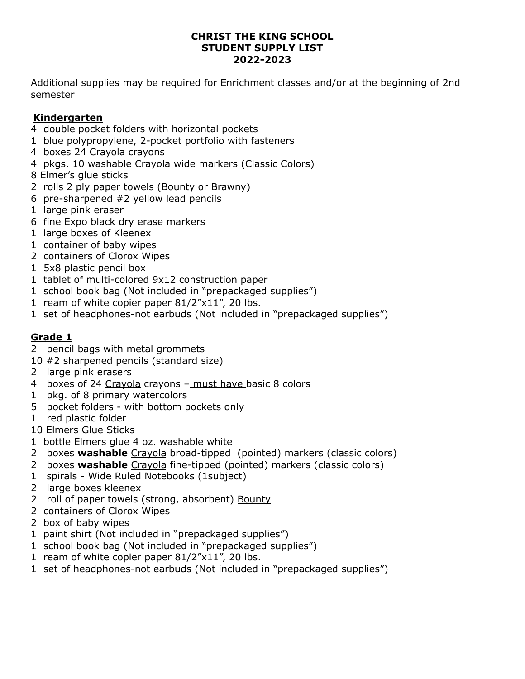#### **CHRIST THE KING SCHOOL STUDENT SUPPLY LIST 2022-2023**

Additional supplies may be required for Enrichment classes and/or at the beginning of 2nd semester

### **Kindergarten**

- double pocket folders with horizontal pockets
- blue polypropylene, 2-pocket portfolio with fasteners
- boxes 24 Crayola crayons
- pkgs. 10 washable Crayola wide markers (Classic Colors)
- Elmer's glue sticks
- rolls 2 ply paper towels (Bounty or Brawny)
- pre-sharpened #2 yellow lead pencils
- large pink eraser
- fine Expo black dry erase markers
- large boxes of Kleenex
- container of baby wipes
- containers of Clorox Wipes
- 5x8 plastic pencil box
- tablet of multi-colored 9x12 construction paper
- school book bag (Not included in "prepackaged supplies")
- ream of white copier paper 81/2"x11", 20 lbs.
- set of headphones-not earbuds (Not included in "prepackaged supplies")

### **Grade 1**

- pencil bags with metal grommets
- #2 sharpened pencils (standard size)
- large pink erasers
- boxes of 24 Crayola crayons must have basic 8 colors
- pkg. of 8 primary watercolors
- pocket folders with bottom pockets only
- red plastic folder

Elmers Glue Sticks

- bottle Elmers glue 4 oz. washable white
- boxes **washable** Crayola broad-tipped (pointed) markers (classic colors)
- boxes **washable** Crayola fine-tipped (pointed) markers (classic colors)
- spirals Wide Ruled Notebooks (1subject)
- large boxes kleenex
- 2 roll of paper towels (strong, absorbent) Bounty
- containers of Clorox Wipes
- box of baby wipes
- paint shirt (Not included in "prepackaged supplies")
- school book bag (Not included in "prepackaged supplies")
- ream of white copier paper 81/2"x11", 20 lbs.
- set of headphones-not earbuds (Not included in "prepackaged supplies")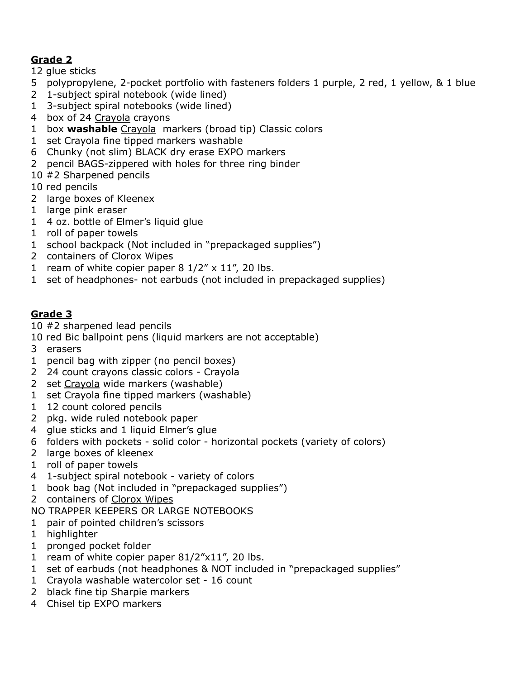# **Grade 2**

glue sticks

- polypropylene, 2-pocket portfolio with fasteners folders 1 purple, 2 red, 1 yellow, & 1 blue
- 1-subject spiral notebook (wide lined)
- 3-subject spiral notebooks (wide lined)
- box of 24 Crayola crayons
- box **washable** Crayola markers (broad tip) Classic colors
- set Crayola fine tipped markers washable
- Chunky (not slim) BLACK dry erase EXPO markers
- pencil BAGS-zippered with holes for three ring binder
- #2 Sharpened pencils
- red pencils
- large boxes of Kleenex
- large pink eraser
- 4 oz. bottle of Elmer's liquid glue
- roll of paper towels
- school backpack (Not included in "prepackaged supplies")
- containers of Clorox Wipes
- 1 ream of white copier paper  $8 \frac{1}{2}$  x  $\frac{11}{7}$ , 20 lbs.
- set of headphones- not earbuds (not included in prepackaged supplies)

## **Grade 3**

#2 sharpened lead pencils

- red Bic ballpoint pens (liquid markers are not acceptable)
- erasers
- pencil bag with zipper (no pencil boxes)
- 24 count crayons classic colors Crayola
- set Crayola wide markers (washable)
- set Crayola fine tipped markers (washable)
- 12 count colored pencils
- pkg. wide ruled notebook paper
- 4 glue sticks and 1 liquid Elmer's glue
- folders with pockets solid color horizontal pockets (variety of colors)
- large boxes of kleenex
- roll of paper towels
- 1-subject spiral notebook variety of colors
- book bag (Not included in "prepackaged supplies")
- containers of Clorox Wipes
- NO TRAPPER KEEPERS OR LARGE NOTEBOOKS
- pair of pointed children's scissors
- highlighter
- pronged pocket folder
- ream of white copier paper 81/2"x11", 20 lbs.
- set of earbuds (not headphones & NOT included in "prepackaged supplies"
- Crayola washable watercolor set 16 count
- black fine tip Sharpie markers
- Chisel tip EXPO markers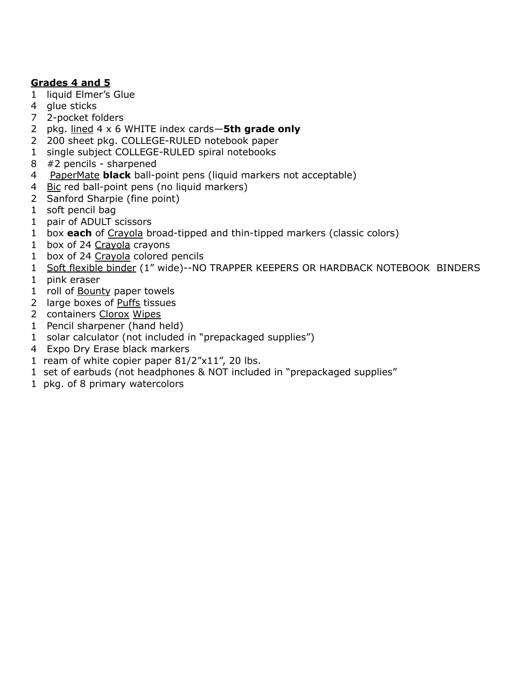### **Grades 4 and 5**

- liquid Elmer's Glue
- glue sticks
- 2-pocket folders
- pkg. lined 4 x 6 WHITE index cards—**5th grade only**
- 200 sheet pkg. COLLEGE-RULED notebook paper
- single subject COLLEGE-RULED spiral notebooks
- #2 pencils sharpened
- PaperMate **black** ball-point pens (liquid markers not acceptable)
- 4 Bic red ball-point pens (no liquid markers)
- Sanford Sharpie (fine point)
- soft pencil bag
- pair of ADULT scissors
- box **each** of Crayola broad-tipped and thin-tipped markers (classic colors)
- 1 box of 24 Crayola crayons
- box of 24 Crayola colored pencils
- Soft flexible binder (1" wide)--NO TRAPPER KEEPERS OR HARDBACK NOTEBOOK BINDERS
- pink eraser
- 1 roll of **Bounty** paper towels
- large boxes of Puffs tissues
- containers Clorox Wipes
- Pencil sharpener (hand held)
- solar calculator (not included in "prepackaged supplies")
- Expo Dry Erase black markers
- ream of white copier paper 81/2"x11", 20 lbs.
- set of earbuds (not headphones & NOT included in "prepackaged supplies"
- pkg. of 8 primary watercolors